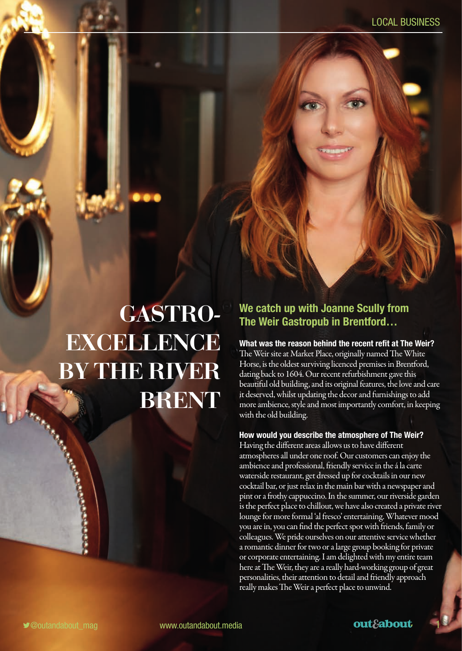# GASTRO-**EXCELLENCE** BY THE RIVER BRENT

### **We catch up with Joanne Scully from The Weir Gastropub in Brentford…**

**What was the reason behind the recent refit at The Weir?**  The Weir site at Market Place, originally named The White Horse, is the oldest surviving licenced premises in Brentford, dating back to 1604. Our recent refurbishment gave this beautiful old building, and its original features, the love and care it deserved, whilst updating the decor and furnishings to add more ambience, style and most importantly comfort, in keeping with the old building.

#### **How would you describe the atmosphere of The Weir?**

Having the different areas allows us to have different atmospheres all under one roof. Our customers can enjoy the ambience and professional, friendly service in the á la carte waterside restaurant, get dressed up for cocktails in our new cocktail bar, or just relax in the main bar with a newspaper and pint or a frothy cappuccino. In the summer, our riverside garden is the perfect place to chillout, we have also created a private river lounge for more formal 'al fresco' entertaining. Whatever mood you are in, you can find the perfect spot with friends, family or colleagues. We pride ourselves on our attentive service whether a romantic dinner for two or a large group booking for private or corporate entertaining. I am delighted with my entire team here at The Weir, they are a really hard-working group of great personalities, their attention to detail and friendly approach really makes The Weir a perfect place to unwind.

**Commercial Constitution**